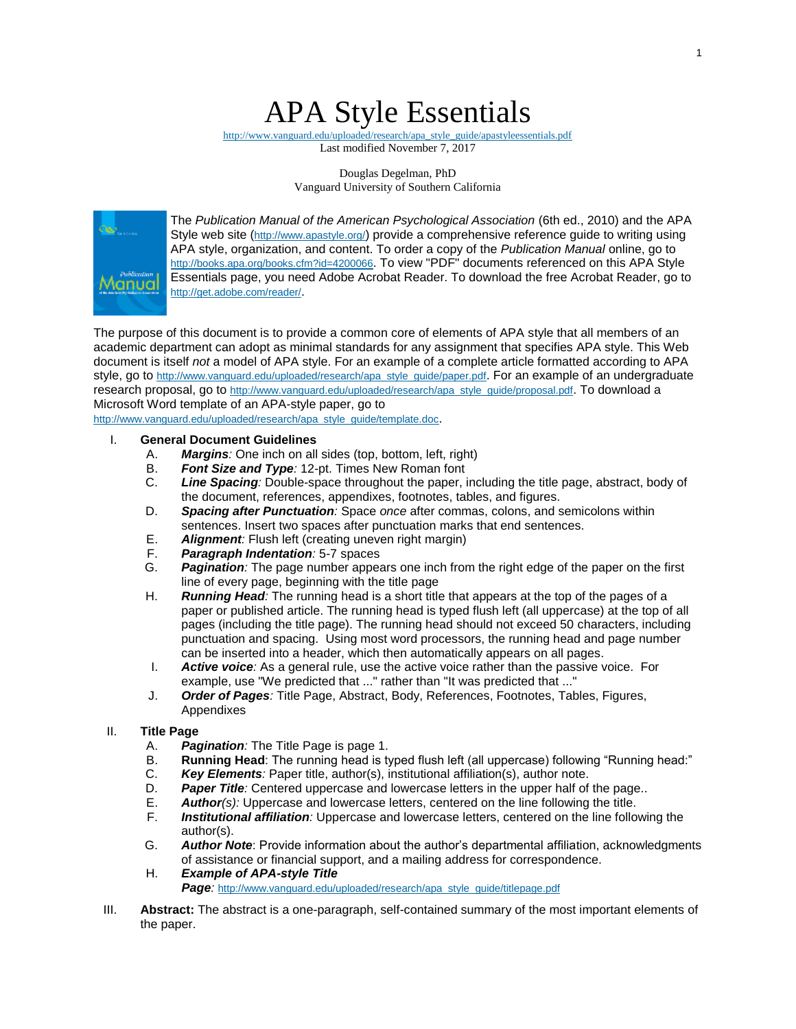# APA Style Essentials

[http://www.vanguard.edu/uploaded/research/apa\\_style\\_guide/apastyleessentials.pdf](http://www.vanguard.edu/uploaded/research/apa_style_guide/apastyleessentials.pdf) Last modified November 7, 2017

> Douglas Degelman, PhD Vanguard University of Southern California



The *Publication Manual of the American Psychological Association* (6th ed., 2010) and the APA Style web site (<http://www.apastyle.org/>) provide a comprehensive reference guide to writing using APA style, organization, and content. To order a copy of the *Publication Manual* online, go to <http://books.apa.org/books.cfm?id=4200066>. To view "PDF" documents referenced on this APA Style Essentials page, you need Adobe Acrobat Reader. To download the free Acrobat Reader, go to <http://get.adobe.com/reader/>.

The purpose of this document is to provide a common core of elements of APA style that all members of an academic department can adopt as minimal standards for any assignment that specifies APA style. This Web document is itself *not* a model of APA style. For an example of a complete article formatted according to APA style, go to [http://www.vanguard.edu/uploaded/research/apa\\_style\\_guide/paper.pdf](http://www.vanguard.edu/uploaded/research/apa_style_guide/paper.pdf). For an example of an undergraduate research proposal, go to [http://www.vanguard.edu/uploaded/research/apa\\_style\\_guide/proposal.pdf](http://www.vanguard.edu/uploaded/research/apa_style_guide/proposal.pdf). To download a Microsoft Word template of an APA-style paper, go to

[http://www.vanguard.edu/uploaded/research/apa\\_style\\_guide/template.doc](http://www.vanguard.edu/uploaded/research/apa_style_guide/template.doc).

#### I. **General Document Guidelines**

- A. *Margins:* One inch on all sides (top, bottom, left, right)
- Font Size and Type: 12-pt. Times New Roman font
- C. *Line Spacing:* Double-space throughout the paper, including the title page, abstract, body of the document, references, appendixes, footnotes, tables, and figures.
- D. *Spacing after Punctuation:* Space *once* after commas, colons, and semicolons within sentences. Insert two spaces after punctuation marks that end sentences.
- E. *Alignment:* Flush left (creating uneven right margin)
- F. *Paragraph Indentation:* 5-7 spaces
- G. *Pagination:* The page number appears one inch from the right edge of the paper on the first line of every page, beginning with the title page
- H. *Running Head:* The running head is a short title that appears at the top of the pages of a paper or published article. The running head is typed flush left (all uppercase) at the top of all pages (including the title page). The running head should not exceed 50 characters, including punctuation and spacing. Using most word processors, the running head and page number can be inserted into a header, which then automatically appears on all pages.
- I. *Active voice:* As a general rule, use the active voice rather than the passive voice. For example, use "We predicted that ..." rather than "It was predicted that ..."
- J. *Order of Pages:* Title Page, Abstract, Body, References, Footnotes, Tables, Figures, Appendixes

#### II. **Title Page**

- A. *Pagination:* The Title Page is page 1.
- B. **Running Head**: The running head is typed flush left (all uppercase) following "Running head:"
- C. *Key Elements:* Paper title, author(s), institutional affiliation(s), author note.
- D. *Paper Title:* Centered uppercase and lowercase letters in the upper half of the page..
- E. *Author(s):* Uppercase and lowercase letters, centered on the line following the title.
- F. *Institutional affiliation:* Uppercase and lowercase letters, centered on the line following the author(s).
- G. *Author Note*: Provide information about the author's departmental affiliation, acknowledgments of assistance or financial support, and a mailing address for correspondence.
- H. *Example of APA-style Title Page:* [http://www.vanguard.edu/uploaded/research/apa\\_style\\_guide/titlepage.pdf](http://www.vanguard.edu/uploaded/research/apa_style_guide/titlepage.pdf)
- III. **Abstract:** The abstract is a one-paragraph, self-contained summary of the most important elements of the paper.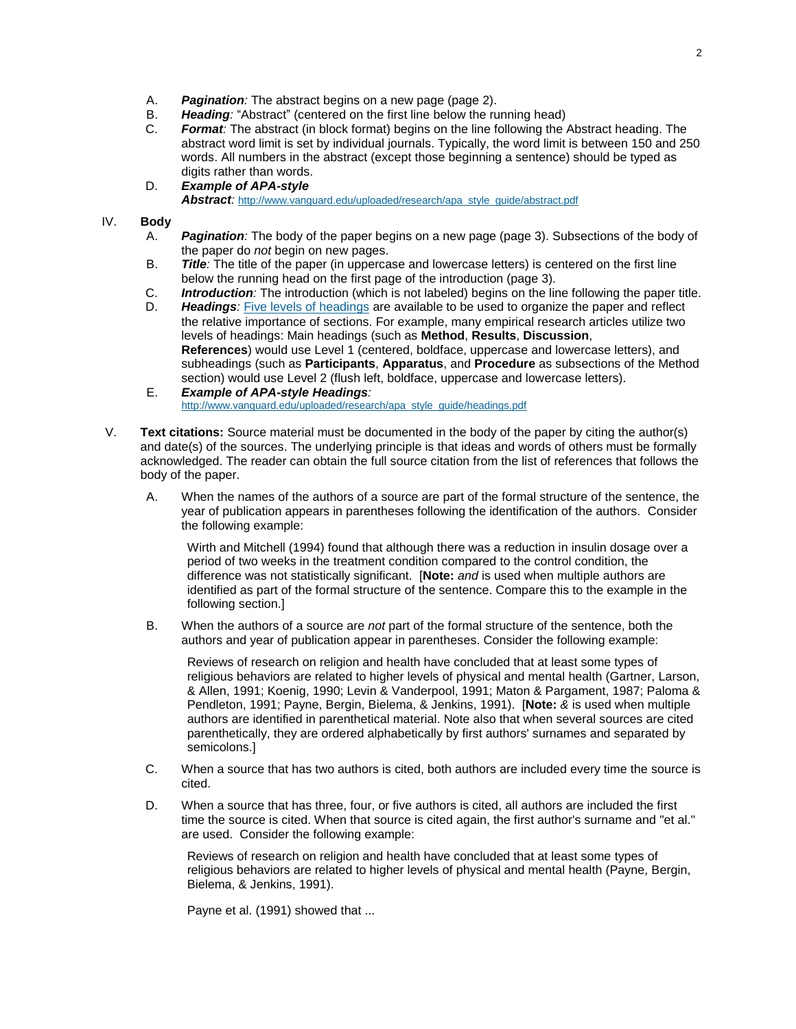- A. *Pagination:* The abstract begins on a new page (page 2).
- Heading: "Abstract" (centered on the first line below the running head)
- C. *Format:* The abstract (in block format) begins on the line following the Abstract heading. The abstract word limit is set by individual journals. Typically, the word limit is between 150 and 250 words. All numbers in the abstract (except those beginning a sentence) should be typed as digits rather than words.
- D. *Example of APA-style Abstract:* [http://www.vanguard.edu/uploaded/research/apa\\_style\\_guide/abstract.pdf](http://www.vanguard.edu/uploaded/research/apa_style_guide/abstract.pdf)

## IV. **Body**

- A. *Pagination:* The body of the paper begins on a new page (page 3). Subsections of the body of the paper do *not* begin on new pages.
- B. *Title:* The title of the paper (in uppercase and lowercase letters) is centered on the first line below the running head on the first page of the introduction (page 3).
- C. *Introduction:* The introduction (which is not labeled) begins on the line following the paper title.
- D. *Headings:* [Five levels of headings](http://blog.apastyle.org/apastyle/2009/07/five-essential-tips-for-apa-style-headings.html) are available to be used to organize the paper and reflect the relative importance of sections. For example, many empirical research articles utilize two levels of headings: Main headings (such as **Method**, **Results**, **Discussion**, **References**) would use Level 1 (centered, boldface, uppercase and lowercase letters), and subheadings (such as **Participants**, **Apparatus**, and **Procedure** as subsections of the Method section) would use Level 2 (flush left, boldface, uppercase and lowercase letters).
- E. *Example of APA-style Headings:* [http://www.vanguard.edu/uploaded/research/apa\\_style\\_guide/headings.pdf](http://www.vanguard.edu/uploaded/research/apa_style_guide/headings.pdf)
- V. **Text citations:** Source material must be documented in the body of the paper by citing the author(s) and date(s) of the sources. The underlying principle is that ideas and words of others must be formally acknowledged. The reader can obtain the full source citation from the list of references that follows the body of the paper.
	- A. When the names of the authors of a source are part of the formal structure of the sentence, the year of publication appears in parentheses following the identification of the authors. Consider the following example:

Wirth and Mitchell (1994) found that although there was a reduction in insulin dosage over a period of two weeks in the treatment condition compared to the control condition, the difference was not statistically significant. [**Note:** *and* is used when multiple authors are identified as part of the formal structure of the sentence. Compare this to the example in the following section.]

B. When the authors of a source are *not* part of the formal structure of the sentence, both the authors and year of publication appear in parentheses. Consider the following example:

Reviews of research on religion and health have concluded that at least some types of religious behaviors are related to higher levels of physical and mental health (Gartner, Larson, & Allen, 1991; Koenig, 1990; Levin & Vanderpool, 1991; Maton & Pargament, 1987; Paloma & Pendleton, 1991; Payne, Bergin, Bielema, & Jenkins, 1991). [**Note:** *&* is used when multiple authors are identified in parenthetical material. Note also that when several sources are cited parenthetically, they are ordered alphabetically by first authors' surnames and separated by semicolons.]

- C. When a source that has two authors is cited, both authors are included every time the source is cited.
- D. When a source that has three, four, or five authors is cited, all authors are included the first time the source is cited. When that source is cited again, the first author's surname and "et al." are used. Consider the following example:

Reviews of research on religion and health have concluded that at least some types of religious behaviors are related to higher levels of physical and mental health (Payne, Bergin, Bielema, & Jenkins, 1991).

Payne et al. (1991) showed that ...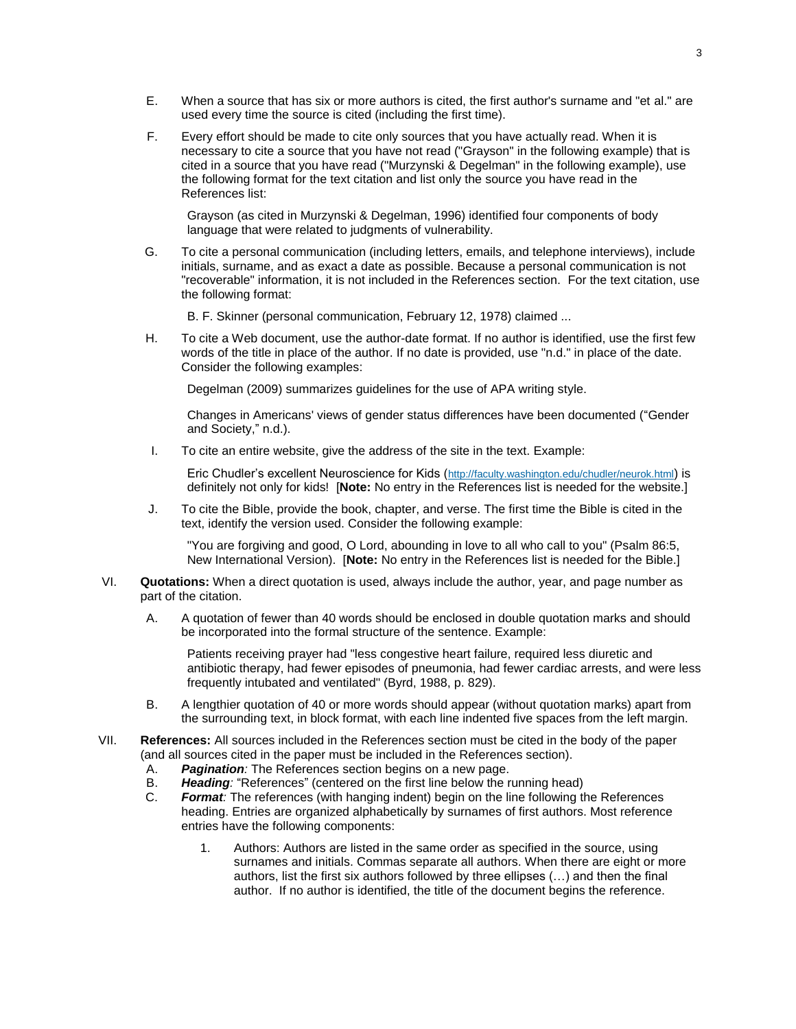- E. When a source that has six or more authors is cited, the first author's surname and "et al." are used every time the source is cited (including the first time).
- F. Every effort should be made to cite only sources that you have actually read. When it is necessary to cite a source that you have not read ("Grayson" in the following example) that is cited in a source that you have read ("Murzynski & Degelman" in the following example), use the following format for the text citation and list only the source you have read in the References list:

Grayson (as cited in Murzynski & Degelman, 1996) identified four components of body language that were related to judgments of vulnerability.

- G. To cite a personal communication (including letters, emails, and telephone interviews), include initials, surname, and as exact a date as possible. Because a personal communication is not "recoverable" information, it is not included in the References section. For the text citation, use the following format:
	- B. F. Skinner (personal communication, February 12, 1978) claimed ...
- H. To cite a Web document, use the author-date format. If no author is identified, use the first few words of the title in place of the author. If no date is provided, use "n.d." in place of the date. Consider the following examples:

Degelman (2009) summarizes guidelines for the use of APA writing style.

Changes in Americans' views of gender status differences have been documented ("Gender and Society," n.d.).

I. To cite an entire website, give the address of the site in the text. Example:

Eric Chudler's excellent Neuroscience for Kids (<http://faculty.washington.edu/chudler/neurok.html>) is definitely not only for kids! [**Note:** No entry in the References list is needed for the website.]

J. To cite the Bible, provide the book, chapter, and verse. The first time the Bible is cited in the text, identify the version used. Consider the following example:

"You are forgiving and good, O Lord, abounding in love to all who call to you" (Psalm 86:5, New International Version). [**Note:** No entry in the References list is needed for the Bible.]

- VI. **Quotations:** When a direct quotation is used, always include the author, year, and page number as part of the citation.
	- A. A quotation of fewer than 40 words should be enclosed in double quotation marks and should be incorporated into the formal structure of the sentence. Example:

Patients receiving prayer had "less congestive heart failure, required less diuretic and antibiotic therapy, had fewer episodes of pneumonia, had fewer cardiac arrests, and were less frequently intubated and ventilated" (Byrd, 1988, p. 829).

- B. A lengthier quotation of 40 or more words should appear (without quotation marks) apart from the surrounding text, in block format, with each line indented five spaces from the left margin.
- VII. **References:** All sources included in the References section must be cited in the body of the paper (and all sources cited in the paper must be included in the References section).
	- A. *Pagination:* The References section begins on a new page.
	- B. *Heading:* "References" (centered on the first line below the running head)
	- C. *Format:* The references (with hanging indent) begin on the line following the References heading. Entries are organized alphabetically by surnames of first authors. Most reference entries have the following components:
		- 1. Authors: Authors are listed in the same order as specified in the source, using surnames and initials. Commas separate all authors. When there are eight or more authors, list the first six authors followed by three ellipses (…) and then the final author. If no author is identified, the title of the document begins the reference.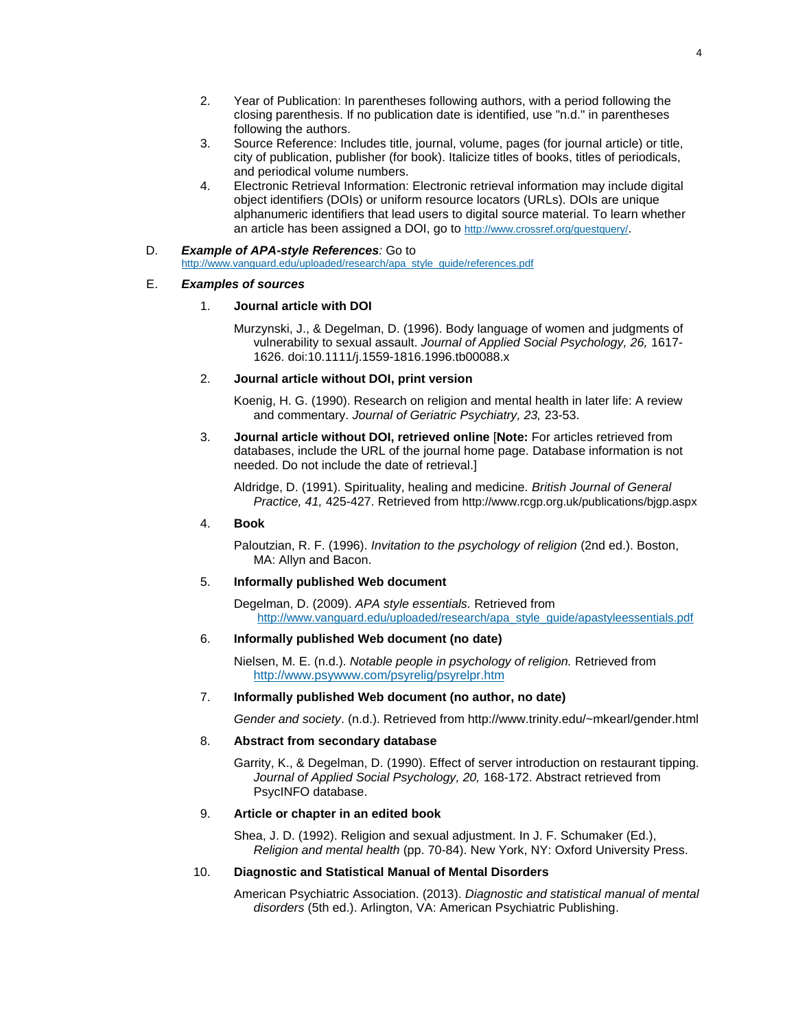- 2. Year of Publication: In parentheses following authors, with a period following the closing parenthesis. If no publication date is identified, use "n.d." in parentheses following the authors.
- 3. Source Reference: Includes title, journal, volume, pages (for journal article) or title, city of publication, publisher (for book). Italicize titles of books, titles of periodicals, and periodical volume numbers.
- 4. Electronic Retrieval Information: Electronic retrieval information may include digital object identifiers (DOIs) or uniform resource locators (URLs). DOIs are unique alphanumeric identifiers that lead users to digital source material. To learn whether an article has been assigned a DOI, go to <http://www.crossref.org/guestquery/>.
- D. *Example of APA-style References:* Go to [http://www.vanguard.edu/uploaded/research/apa\\_style\\_guide/references.pdf](http://www.vanguard.edu/uploaded/research/apa_style_guide/references.pdf)

#### E. *Examples of sources*

## 1. **Journal article with DOI**

Murzynski, J., & Degelman, D. (1996). Body language of women and judgments of vulnerability to sexual assault. *Journal of Applied Social Psychology, 26,* 1617- 1626. doi:10.1111/j.1559-1816.1996.tb00088.x

### 2. **Journal article without DOI, print version**

Koenig, H. G. (1990). Research on religion and mental health in later life: A review and commentary. *Journal of Geriatric Psychiatry, 23,* 23-53.

3. **Journal article without DOI, retrieved online** [**Note:** For articles retrieved from databases, include the URL of the journal home page. Database information is not needed. Do not include the date of retrieval.]

Aldridge, D. (1991). Spirituality, healing and medicine. *British Journal of General Practice, 41,* 425-427. Retrieved from http://www.rcgp.org.uk/publications/bjgp.aspx

#### 4. **Book**

Paloutzian, R. F. (1996). *Invitation to the psychology of religion* (2nd ed.). Boston, MA: Allyn and Bacon.

# 5. **Informally published Web document**

Degelman, D. (2009). *APA style essentials.* Retrieved from [http://www.vanguard.edu/uploaded/research/apa\\_style\\_guide/apastyleessentials.pdf](http://www.vanguard.edu/uploaded/research/apa_style_guide/apastyleessentials.pdf)

#### 6. **Informally published Web document (no date)**

Nielsen, M. E. (n.d.). *Notable people in psychology of religion.* Retrieved from <http://www.psywww.com/psyrelig/psyrelpr.htm>

# 7. **Informally published Web document (no author, no date)**

*Gender and society*. (n.d.). Retrieved from http://www.trinity.edu/~mkearl/gender.html

#### 8. **Abstract from secondary database**

Garrity, K., & Degelman, D. (1990). Effect of server introduction on restaurant tipping. *Journal of Applied Social Psychology, 20,* 168-172. Abstract retrieved from PsycINFO database.

# 9. **Article or chapter in an edited book**

Shea, J. D. (1992). Religion and sexual adjustment. In J. F. Schumaker (Ed.), *Religion and mental health* (pp. 70-84). New York, NY: Oxford University Press.

# 10. **Diagnostic and Statistical Manual of Mental Disorders**

American Psychiatric Association. (2013). *Diagnostic and statistical manual of mental disorders* (5th ed.). Arlington, VA: American Psychiatric Publishing.